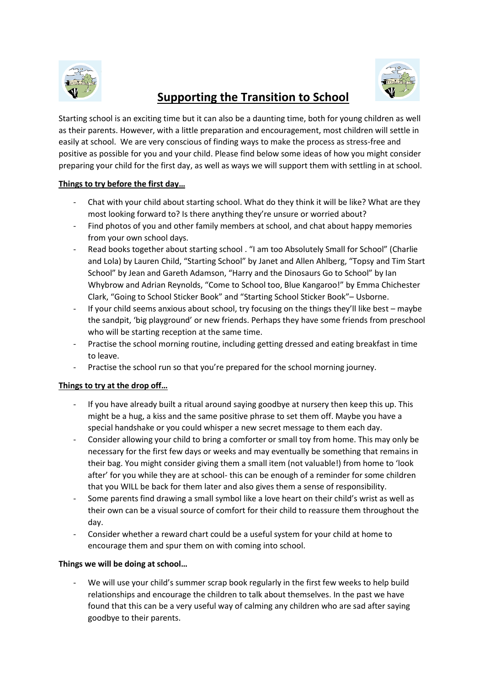

# **Supporting the Transition to School**



Starting school is an exciting time but it can also be a daunting time, both for young children as well as their parents. However, with a little preparation and encouragement, most children will settle in easily at school. We are very conscious of finding ways to make the process as stress-free and positive as possible for you and your child. Please find below some ideas of how you might consider preparing your child for the first day, as well as ways we will support them with settling in at school.

### **Things to try before the first day…**

- Chat with your child about starting school. What do they think it will be like? What are they most looking forward to? Is there anything they're unsure or worried about?
- Find photos of you and other family members at school, and chat about happy memories from your own school days.
- Read books together about starting school . "I am too Absolutely Small for School" (Charlie and Lola) by Lauren Child, "Starting School" by Janet and Allen Ahlberg, "Topsy and Tim Start School" by Jean and Gareth Adamson, "Harry and the Dinosaurs Go to School" by Ian Whybrow and Adrian Reynolds, "Come to School too, Blue Kangaroo!" by Emma Chichester Clark, "Going to School Sticker Book" and "Starting School Sticker Book"– Usborne.
- If your child seems anxious about school, try focusing on the things they'll like best maybe the sandpit, 'big playground' or new friends. Perhaps they have some friends from preschool who will be starting reception at the same time.
- Practise the school morning routine, including getting dressed and eating breakfast in time to leave.
- Practise the school run so that you're prepared for the school morning journey.

#### **Things to try at the drop off…**

- If you have already built a ritual around saying goodbye at nursery then keep this up. This might be a hug, a kiss and the same positive phrase to set them off. Maybe you have a special handshake or you could whisper a new secret message to them each day.
- Consider allowing your child to bring a comforter or small toy from home. This may only be necessary for the first few days or weeks and may eventually be something that remains in their bag. You might consider giving them a small item (not valuable!) from home to 'look after' for you while they are at school- this can be enough of a reminder for some children that you WILL be back for them later and also gives them a sense of responsibility.
- Some parents find drawing a small symbol like a love heart on their child's wrist as well as their own can be a visual source of comfort for their child to reassure them throughout the day.
- Consider whether a reward chart could be a useful system for your child at home to encourage them and spur them on with coming into school.

## **Things we will be doing at school…**

We will use your child's summer scrap book regularly in the first few weeks to help build relationships and encourage the children to talk about themselves. In the past we have found that this can be a very useful way of calming any children who are sad after saying goodbye to their parents.